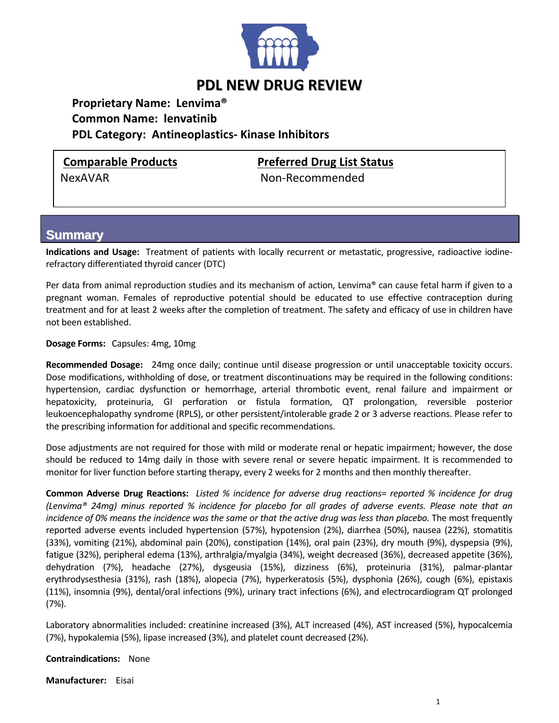

## **PDL NEW DRUG REVIEW**

**Proprietary Name: Lenvima® Common Name: lenvatinib PDL Category: Antineoplastics‐ Kinase Inhibitors**

**Comparable Products Preferred Drug List Status**

NexAVAR Non‐Recommended

## **Summary**

Indications and Usage: Treatment of patients with locally recurrent or metastatic, progressive, radioactive iodinerefractory differentiated thyroid cancer (DTC)

Per data from animal reproduction studies and its mechanism of action, Lenvima® can cause fetal harm if given to a pregnant woman. Females of reproductive potential should be educated to use effective contraception during treatment and for at least 2 weeks after the completion of treatment. The safety and efficacy of use in children have not been established.

**Dosage Forms:**  Capsules: 4mg, 10mg

**Recommended Dosage:**  24mg once daily; continue until disease progression or until unacceptable toxicity occurs. Dose modifications, withholding of dose, or treatment discontinuations may be required in the following conditions: hypertension, cardiac dysfunction or hemorrhage, arterial thrombotic event, renal failure and impairment or hepatoxicity, proteinuria, GI perforation or fistula formation, QT prolongation, reversible posterior leukoencephalopathy syndrome (RPLS), or other persistent/intolerable grade 2 or 3 adverse reactions. Please refer to the prescribing information for additional and specific recommendations.

Dose adjustments are not required for those with mild or moderate renal or hepatic impairment; however, the dose should be reduced to 14mg daily in those with severe renal or severe hepatic impairment. It is recommended to monitor for liver function before starting therapy, every 2 weeks for 2 months and then monthly thereafter.

**Common Adverse Drug Reactions:** Listed % incidence for adverse drug reactions= reported % incidence for drug (Lenvima® 24mq) minus reported % incidence for placebo for all grades of adverse events. Please note that an incidence of 0% means the incidence was the same or that the active drug was less than placebo. The most frequently reported adverse events included hypertension (57%), hypotension (2%), diarrhea (50%), nausea (22%), stomatitis (33%), vomiting (21%), abdominal pain (20%), constipation (14%), oral pain (23%), dry mouth (9%), dyspepsia (9%), fatigue (32%), peripheral edema (13%), arthralgia/myalgia (34%), weight decreased (36%), decreased appetite (36%), dehydration (7%), headache (27%), dysgeusia (15%), dizziness (6%), proteinuria (31%), palmar‐plantar erythrodysesthesia (31%), rash (18%), alopecia (7%), hyperkeratosis (5%), dysphonia (26%), cough (6%), epistaxis (11%), insomnia (9%), dental/oral infections (9%), urinary tract infections (6%), and electrocardiogram QT prolonged (7%).

Laboratory abnormalities included: creatinine increased (3%), ALT increased (4%), AST increased (5%), hypocalcemia (7%), hypokalemia (5%), lipase increased (3%), and platelet count decreased (2%).

**Contraindications:**  None

**Manufacturer:** Eisai